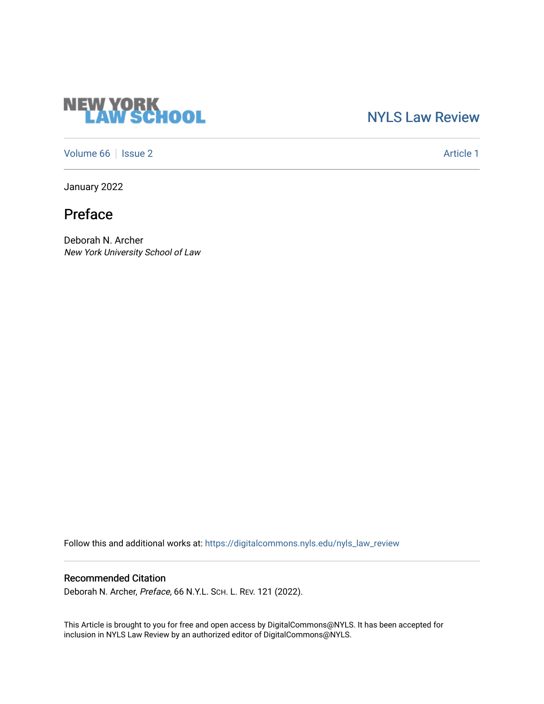# **NEW YORK<br>LAW SCHOOL**

### [NYLS Law Review](https://digitalcommons.nyls.edu/nyls_law_review)

[Volume 66](https://digitalcommons.nyls.edu/nyls_law_review/vol66) | [Issue 2](https://digitalcommons.nyls.edu/nyls_law_review/vol66/iss2) Article 1

January 2022

Preface

Deborah N. Archer New York University School of Law

Follow this and additional works at: [https://digitalcommons.nyls.edu/nyls\\_law\\_review](https://digitalcommons.nyls.edu/nyls_law_review?utm_source=digitalcommons.nyls.edu%2Fnyls_law_review%2Fvol66%2Fiss2%2F1&utm_medium=PDF&utm_campaign=PDFCoverPages) 

#### Recommended Citation

Deborah N. Archer, Preface, 66 N.Y.L. SCH. L. REV. 121 (2022).

This Article is brought to you for free and open access by DigitalCommons@NYLS. It has been accepted for inclusion in NYLS Law Review by an authorized editor of DigitalCommons@NYLS.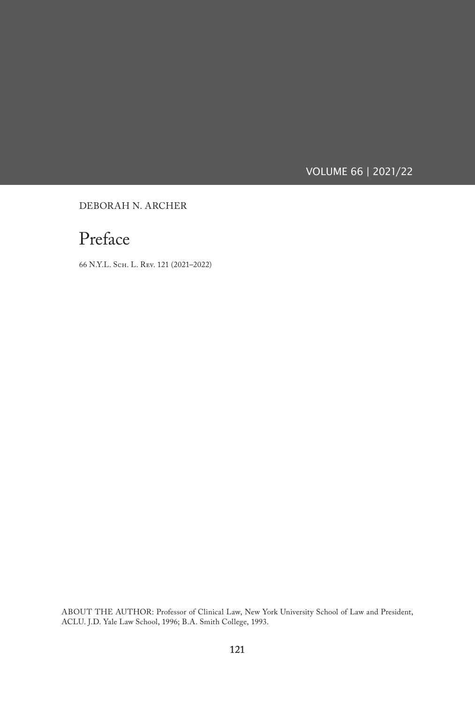VOLUME 66 | 2021/22

DEBORAH N. ARCHER

## Preface

66 N.Y.L. Sch. L. Rev. 121 (2021–2022)

ABOUT THE AUTHOR: Professor of Clinical Law, New York University School of Law and President, ACLU. J.D. Yale Law School, 1996; B.A. Smith College, 1993.